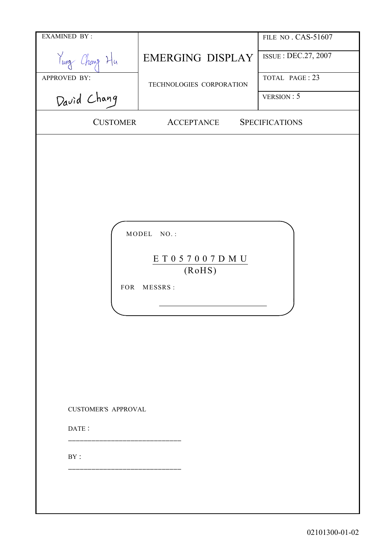| <b>EXAMINED BY:</b>                               |                                                          | FILE NO. CAS-51607    |
|---------------------------------------------------|----------------------------------------------------------|-----------------------|
| Yung Chang Hu                                     | <b>EMERGING DISPLAY</b>                                  | ISSUE: DEC.27, 2007   |
| APPROVED BY:                                      | TECHNOLOGIES CORPORATION                                 | TOTAL PAGE: 23        |
| David Chang                                       |                                                          | VERSION: 5            |
| <b>CUSTOMER</b>                                   | <b>ACCEPTANCE</b>                                        | <b>SPECIFICATIONS</b> |
| FOR<br><b>CUSTOMER'S APPROVAL</b><br>DATE:<br>BY: | MODEL NO.:<br>E T 0 5 7 0 0 7 D M U<br>(RoHS)<br>MESSRS: |                       |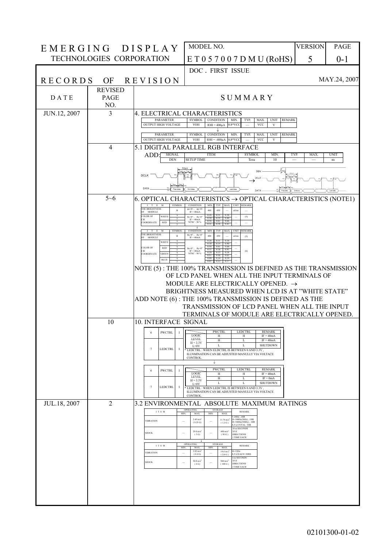| EMERGING DISPLAY |                          |                                                                     | MODEL NO.                                                                                                                                                                                  | <b>VERSION</b>       | PAGE              |
|------------------|--------------------------|---------------------------------------------------------------------|--------------------------------------------------------------------------------------------------------------------------------------------------------------------------------------------|----------------------|-------------------|
|                  | TECHNOLOGIES CORPORATION |                                                                     | ET057007DMU(RoHS)                                                                                                                                                                          | 5                    | $0 - 1$           |
|                  |                          |                                                                     | DOC. FIRST ISSUE                                                                                                                                                                           |                      |                   |
| RECORDS          | OF                       | <b>REVISION</b>                                                     |                                                                                                                                                                                            |                      | MAY.24, 2007      |
|                  | <b>REVISED</b>           |                                                                     |                                                                                                                                                                                            |                      |                   |
| DATE             | PAGE<br>NO.              |                                                                     | SUMMARY                                                                                                                                                                                    |                      |                   |
| JUN.12, 2007     | 3                        | <b>PARAMETER</b>                                                    | 4. ELECTRICAL CHARACTERISTICS<br><b>SYMBOL</b><br>CONDITION<br>MIN.<br>TYP.<br><b>UNIT</b><br><b>REMARK</b><br>MAX.                                                                        |                      |                   |
|                  |                          | OUTPUT HIGH VOLTAGE                                                 | <b>VOH</b><br>$0.8*VCC$<br><b>VCC</b><br>$IOH = 400\mu A$<br>$\mathbf V$                                                                                                                   |                      |                   |
|                  |                          | <b>PARAMETER</b><br>OUTPUT HIGH VOLTAGE                             | <b>SYMBOL</b><br><b>CONDITION</b><br>MIN.<br>TYP.<br>MAX.<br><b>UNIT</b><br><b>REMARK</b><br><b>VOH</b><br>IOH = $-400\mu A$ 0.8*VCC<br><b>VCC</b><br>V                                    |                      |                   |
|                  | $\overline{4}$           |                                                                     | 5.1 DIGITAL PARALLEL RGB INTERFACE                                                                                                                                                         |                      |                   |
|                  |                          | ADD:<br><b>SIGNAL</b><br><b>DEN</b>                                 | <b>ITEM</b><br><b>SYMBOL</b><br><b>MIN</b><br><b>SETUP TIME</b><br>10<br>Tesu                                                                                                              | TYP.<br>MAX          | <b>UNIT</b><br>ns |
|                  |                          | <b>DCLK</b>                                                         |                                                                                                                                                                                            |                      |                   |
|                  |                          |                                                                     | DCLK                                                                                                                                                                                       |                      |                   |
|                  | $5 - 6$                  | DATA<br>First data                                                  | Last data<br>2nd data<br>Findels<br>DATA<br>6. OPTICAL CHARACTERISTICS $\rightarrow$ OPTICAL CHARACTERISTICS (NOTE1)                                                                       | $\langle -2n$ d data | Lentdate          |
|                  |                          | $_{\rm M}$<br><b>SYMBOL</b><br>$I$ $T$ $E$<br><b>THE BRIGHTNESS</b> | MAX. UNIT REMARK<br><b>CONDITION</b><br>MIN.<br>TYP.<br>$\theta x=0^{\circ}$ , $\theta y=0$                                                                                                |                      |                   |
|                  |                          | <b>MODULE</b><br><b>COLOR OF</b><br>WHITE<br>CIE                    | 400<br>450<br>cd/m<br>$IF = 40mA$<br>0.26<br>0.31<br>0.36<br>$\theta x=0^{\circ}$ , $\theta y=0^{\circ}$<br>(5)<br>0.30<br>0.40<br>0.35<br>$IF = 40mA$<br>0.56<br>0.61<br>0.66             |                      |                   |
|                  |                          | <b>RED</b><br>COORDINATE<br><b>SYMBOI</b>                           | NTSC: 50%<br><b>REMARK</b><br><b>CONDITION</b><br><b>UNIT</b><br>MIN.<br>TYP.<br>MAX.                                                                                                      |                      |                   |
|                  |                          | THE BRIGHTNESS<br>$\mathbf{B}$<br>OF<br><b>MODULE</b><br>WHITE      | $\begin{array}{cc} \theta x\!\!=\!\!0^\circ\;,\quad \theta y\!\!=\!\!0'\\ \text{IF}=\!40\text{mA} \end{array}$<br>400<br>450<br>cd/m<br>(5)<br>031<br>0.36<br>0.26<br>0.30<br>0.35<br>0.40 |                      |                   |
|                  |                          | <b>COLOR OF</b><br><b>RED</b><br>CIE<br><b>GREEN</b><br>COORDINATE  | 061<br>0.66<br>0.56<br>$\theta x=0^{\circ}$ , $\theta y=0^{\circ}$<br>0.36<br>0.41<br>$IF = 40mA$<br>(6)<br>0.28<br>0.33<br>0.38<br>NTSC: 50 %<br>0.56<br>0.61                             |                      |                   |
|                  |                          | <b>BLUE</b>                                                         | 0.14<br>0.19<br>0.12                                                                                                                                                                       |                      |                   |
|                  |                          |                                                                     | NOTE (5): THE 100% TRANSMISSION IS DEFINED AS THE TRANSMISSION<br>OF LCD PANEL WHEN ALL THE INPUT TERMINALS OF                                                                             |                      |                   |
|                  |                          |                                                                     | MODULE ARE ELECTRICALLY OPENED. $\rightarrow$                                                                                                                                              |                      |                   |
|                  |                          |                                                                     | BRIGHTNESS MEASURED WHEN LCD IS AT "WHITE STATE"<br>ADD NOTE (6): THE 100% TRANSMISSION IS DEFINED AS THE                                                                                  |                      |                   |
|                  |                          |                                                                     | TRANSMISSION OF LCD PANEL WHEN ALL THE INPUT                                                                                                                                               |                      |                   |
|                  | 10                       | 10. INTERFACE SIGNAL                                                | TERMINALS OF MODULE ARE ELECTRICALLY OPENED.                                                                                                                                               |                      |                   |
|                  |                          | PWCTRL                                                              | PWCTRL  <br>LEDCTRL REMARK                                                                                                                                                                 |                      |                   |
|                  |                          |                                                                     | LOGIC<br>H<br>H<br>$IF = 40mA$<br><b>LEVEL</b><br>H<br>$IF = 40mA$<br>Ι.<br>$H = 3.3V$<br>L<br><b>SHUTDOWN</b><br>L<br>$L=0V$                                                              |                      |                   |
|                  |                          | 7<br><b>LEDCTRL</b>                                                 | -1<br>* LEDCTRL: WHEN ELDCTRL IS BETWEEN 0 AND 3.3V,<br>ILLNMINATION CAN BE ADJUSTED MANULLY VIA VOLTACE<br><b>CONTROL</b>                                                                 |                      |                   |
|                  |                          |                                                                     | ↓                                                                                                                                                                                          |                      |                   |
|                  |                          | <b>PWCTRL</b><br>6                                                  | <b>PWCTRL</b><br><b>LEDCTRL</b><br><b>REMARK</b><br>$\mathbf I$<br><b>LOGIC</b><br>H<br>H<br>$IF = 40mA$<br><b>LEVEL</b><br>H<br>$IF = 0mA$<br>L<br>$H = 3.3V$                             |                      |                   |
|                  |                          | <b>LEDCTRL</b><br>$\tau$                                            | L<br><b>SHUTDOWN</b><br>Ι.<br>$L = 0V$<br>-1<br>* LEDCTRL: WHEN LEDCTRL IS BETWEEN 0 AND 3.3V,<br>ILLUMINATION CAN BE ADJUSTED MANULLY VIA VOLTACE                                         |                      |                   |
|                  |                          |                                                                     | <b>CONTROL</b>                                                                                                                                                                             |                      |                   |
| JUL.18, 2007     | $\overline{2}$           | I T E M                                                             | 3.2 ENVIRONMENTAL ABSOLUTE MAXIMUM RATINGS<br>OPERATING<br><b>STORAGE</b><br><b>REMARK</b><br>MAX<br>MAX<br>MIN.<br>MIN.                                                                   |                      |                   |
|                  |                          | <b>VIBRATION</b>                                                    | $-20$ Hz, $1$ HR<br>20~500Hz(20Hz), 1HR<br>$2.45$ m/s <sup>2</sup><br>$11.76 \text{ m/s}^2$<br>$0 - 500$ Hz $(500$ Hz $)$ , 1HR<br>(0.25)<br>(1.2 G)<br>I,Y,Z,TOTAL 3HR                    |                      |                   |
|                  |                          | <b>SHOCK</b>                                                        | 10 m SECONDS<br>$29.4 \text{ m/s}^2$<br>490 m/s<br>XYZ<br><b>DIRECTIONS</b><br>(3G)<br>(50G)<br>1 TIME EACH                                                                                |                      |                   |
|                  |                          | ITEM                                                                | OPERATING<br><b>STORAGE</b><br><b>REMARK</b><br>MIN.<br>MIN.<br>MAX.<br>MAX                                                                                                                |                      |                   |
|                  |                          | <b>VIBRATION</b>                                                    | $3.92 \text{ m/s}^2$<br>$10 - 55$ Hz<br>$19.6 \text{ m/s}^2$<br><b>X,Y,Z,EACH 2HRS</b><br>(0.4 G)<br>(2.0 G)<br>m SECONDS<br>XYZ                                                           |                      |                   |
|                  |                          | <b>SHOCK</b>                                                        | 58.8 $m/s^2$<br>980 $m/s^2$<br><b>DIRECTIONS</b><br>(6G)<br>(100 G)<br>3 TIME EACH                                                                                                         |                      |                   |
|                  |                          |                                                                     |                                                                                                                                                                                            |                      |                   |
|                  |                          |                                                                     |                                                                                                                                                                                            |                      |                   |
|                  |                          |                                                                     |                                                                                                                                                                                            |                      |                   |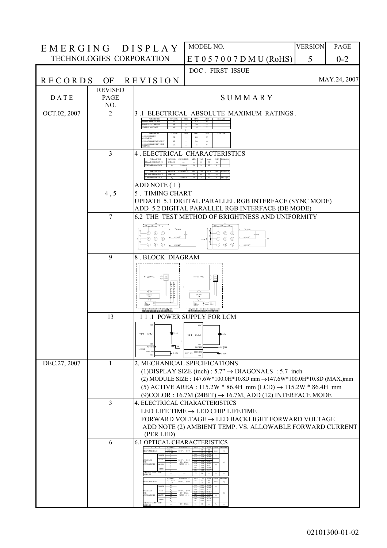| EMERGING DISPLAY |                          |                                                                                                                                                   | MODEL NO.                                                                                                                                                                                            | <b>VERSION</b> | PAGE         |
|------------------|--------------------------|---------------------------------------------------------------------------------------------------------------------------------------------------|------------------------------------------------------------------------------------------------------------------------------------------------------------------------------------------------------|----------------|--------------|
|                  | TECHNOLOGIES CORPORATION |                                                                                                                                                   | E T 0 5 7 0 0 7 D M U (ROHS)                                                                                                                                                                         | 5              | $0 - 2$      |
|                  |                          |                                                                                                                                                   | DOC. FIRST ISSUE                                                                                                                                                                                     |                |              |
| <b>RECORDS</b>   | OF                       | <b>REVISION</b>                                                                                                                                   |                                                                                                                                                                                                      |                | MAY.24, 2007 |
|                  | <b>REVISED</b>           |                                                                                                                                                   |                                                                                                                                                                                                      |                |              |
| <b>DATE</b>      | PAGE<br>NO.              |                                                                                                                                                   | SUMMARY                                                                                                                                                                                              |                |              |
| OCT.02, 2007     | $\overline{2}$           |                                                                                                                                                   | 3.1 ELECTRICAL ABSOLUTE MAXIMUM RATINGS.                                                                                                                                                             |                |              |
|                  |                          | <b>POWER DISSIPATION</b>                                                                                                                          | 1.28<br>0.06                                                                                                                                                                                         |                |              |
|                  |                          | <b>D BACKLIGHT</b><br>PD<br><b>SSIPATION</b><br>ED BACKLIGHT CURRENT<br>ED BACKLIGHT REVERS                                                       | 1.28<br>W<br>0.06                                                                                                                                                                                    |                |              |
|                  | $\overline{3}$           | 4 . ELECTRICAL                                                                                                                                    | <b>CHARACTERISTICS</b>                                                                                                                                                                               |                |              |
|                  |                          |                                                                                                                                                   |                                                                                                                                                                                                      |                |              |
|                  |                          | <b>FRAME FREQUENCY</b><br><b>IFRAME</b>                                                                                                           | 60 72 Hz                                                                                                                                                                                             |                |              |
|                  |                          | ADD NOTE (1)                                                                                                                                      |                                                                                                                                                                                                      |                |              |
|                  | 4, 5                     | 5. TIMING CHART                                                                                                                                   |                                                                                                                                                                                                      |                |              |
|                  |                          |                                                                                                                                                   | UPDATE 5.1 DIGITAL PARALLEL RGB INTERFACE (SYNC MODE)<br>ADD 5.2 DIGITAL PARALLEL RGB INTERFACE (DE MODE)                                                                                            |                |              |
|                  | $\overline{7}$           |                                                                                                                                                   | 6.2 THE TEST METHOD OF BRIGHTNESS AND UNIFORMITY                                                                                                                                                     |                |              |
|                  |                          | $-1.44$<br>℗<br>จ                                                                                                                                 | $-1.46$<br>➀                                                                                                                                                                                         |                |              |
|                  |                          | <b>FIGHT</b><br>$^{\circ}$<br>$\circledcirc$<br>⊕<br>の<br>$^{\circ}$<br>$\circledcirc$<br>52264                                                   | Front<br><b>5 6</b><br>ന<br><sup>(8)</sup><br>(9)<br>Friday.                                                                                                                                         |                |              |
|                  | 9                        | 8. BLOCK DIAGRAM                                                                                                                                  |                                                                                                                                                                                                      |                |              |
|                  |                          | TFT LCD PANEL<br>Anticipality<br>Anticipality<br>Anticipality<br>Anticipality<br>≏<br>-30<br>às-<br>manmoonommoogani                              | E<br>TFT LCD PANCL<br><u>ናጉ</u><br>مبر<br>آه<br>쥬<br>¥.<br>통<br><u>nuummmmmmmmuunn</u>                                                                                                               |                |              |
|                  | 13                       |                                                                                                                                                   | 11.1 POWER SUPPLY FOR LCM                                                                                                                                                                            |                |              |
|                  |                          | vcc<br><b>主</b> 3.3V<br>TFT LCM<br>VSS<br>ON OFF<br>LED B/L<br>LEDCTB<br>—— 0-3.3V                                                                | vcc<br>$\equiv$ 3.3V<br>TFT LCM<br><b>VSS</b><br>$ON$ OFF<br><b>PWCTR</b><br>LEDCTRI<br>LED B/L<br>$\mp$ 0-3.3V                                                                                      |                |              |
| DEC.27, 2007     | 1                        |                                                                                                                                                   | 2. MECHANICAL SPECIFICATIONS                                                                                                                                                                         |                |              |
|                  |                          |                                                                                                                                                   | (1) DISPLAY SIZE (inch) : $5.7^{\prime\prime} \rightarrow$ DIAGONALS : 5.7 inch<br>(2) MODULE SIZE: 147.6W*100.0H*10.8D mm →147.6W*100.0H*10.8D (MAX.)mm                                             |                |              |
|                  |                          |                                                                                                                                                   | (5) ACTIVE AREA : 115.2W * 86.4H mm (LCD) $\rightarrow$ 115.2W * 86.4H mm                                                                                                                            |                |              |
|                  |                          |                                                                                                                                                   | $(9)$ COLOR: 16.7M (24BIT) $\rightarrow$ 16.7M, ADD (12) INTERFACE MODE                                                                                                                              |                |              |
|                  | $\overline{3}$           |                                                                                                                                                   | 4. ELECTRICAL CHARACTERISTICS<br>LED LIFE TIME $\rightarrow$ LED CHIP LIFETIME                                                                                                                       |                |              |
|                  |                          |                                                                                                                                                   | FORWARD VOLTAGE $\rightarrow$ LED BACKLIGHT FORWARD VOLTAGE                                                                                                                                          |                |              |
|                  |                          | (PER LED)                                                                                                                                         | ADD NOTE (2) AMBIENT TEMP. VS. ALLOWABLE FORWARD CURRENT                                                                                                                                             |                |              |
|                  | 6                        | <b>6.1 OPTICAL CHARACTERISTICS</b>                                                                                                                |                                                                                                                                                                                                      |                |              |
|                  |                          | <b>SYMBOL</b><br><b>ESPONSE TIME</b><br>tf(fall)<br>WHITE                                                                                         | CONDITION MIN TYP MAX UNIT REMARK<br>$\theta x = 0$ °, $\theta y = 0$ °                                                                                                                              |                |              |
|                  |                          | COLOR OF<br>RED<br><b>GREET</b><br>COORDINATE                                                                                                     | bx=0°, θy=0′<br>IF = 40mA<br>(6)<br>NTSC: 50%                                                                                                                                                        |                |              |
|                  |                          | BLUE<br><b>THE UNIFORMI</b><br>ODULE                                                                                                              |                                                                                                                                                                                                      |                |              |
|                  |                          | <b>RESPONSE TIME</b><br>$T_R$ (rise)<br>$Te$ (fall)<br><b>RED</b><br>COLOR OF<br>COORDINATE<br><b>GREE</b><br>BLUE<br>THE UNIFORMITY OI<br>MODULE | $\theta x = 0$ °, $\theta y = 0$<br>$\begin{array}{ll} \theta x{=}0^\circ\,, & \theta y{=}0^\circ \\ \text{IF} = 40\text{mA} \\ \text{NTSC}: 50\,\% \end{array}$<br>(6)<br>$\text{IF} = 40\text{mA}$ |                |              |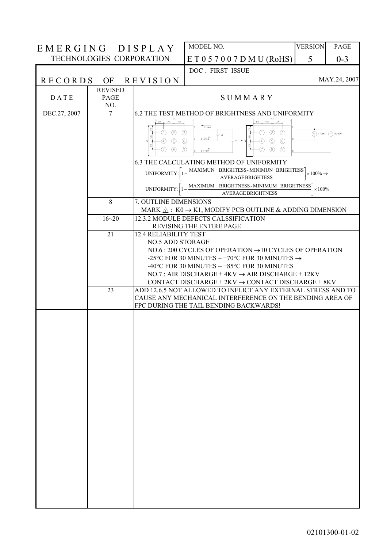| EMERGING DISPLAY |                               |                                                                                                                                                           | MODEL NO.                                                                                                                                                                                                                                                         | <b>VERSION</b>             | <b>PAGE</b>                           |
|------------------|-------------------------------|-----------------------------------------------------------------------------------------------------------------------------------------------------------|-------------------------------------------------------------------------------------------------------------------------------------------------------------------------------------------------------------------------------------------------------------------|----------------------------|---------------------------------------|
|                  |                               | TECHNOLOGIES CORPORATION                                                                                                                                  | E T 0 5 7 0 0 7 D M U (RoHS)                                                                                                                                                                                                                                      | 5                          | $0 - 3$                               |
|                  |                               |                                                                                                                                                           | DOC. FIRST ISSUE                                                                                                                                                                                                                                                  |                            |                                       |
| <b>RECORDS</b>   |                               | OF REVISION                                                                                                                                               |                                                                                                                                                                                                                                                                   |                            | MAY.24, 2007                          |
| <b>DATE</b>      | <b>REVISED</b><br>PAGE<br>NO. |                                                                                                                                                           | SUMMARY                                                                                                                                                                                                                                                           |                            |                                       |
| DEC.27, 2007     | 7                             |                                                                                                                                                           | 6.2 THE TEST METHOD OF BRIGHTNESS AND UNIFORMITY                                                                                                                                                                                                                  |                            |                                       |
|                  |                               | $1/6x$ $1/3x$ $1/3x$<br>뾬<br>ⓒ<br>$\circled{3}$<br>$\left(1\right)$<br>š<br>$\circledcirc$<br>$\circledS$<br>(4)<br>₹<br>5<br>7)<br>(8)<br>$\circledcirc$ | $1/6x$ $1/3x$ $1/3x$ $1/3x$<br>$IF = 40nA$<br>$^{\circledR}$<br>☉<br>$\circledcirc$<br>' VF<br>$IF1=20mA$<br>$\circledS$<br>$\circled{4}$<br>$\circledS$<br>'vr -<br>の<br>$\circledS$<br>$\circledcirc$<br>$IF2=20nA$<br>6.3 THE CALCULATING METHOD OF UNIFORMITY | $\circled{r}$ IF = 20mA    | $\left(\bigwedge\right)$ if $r=20$ mA |
|                  |                               | UNIFORMITY:                                                                                                                                               | MAXIMUN BRIGHTESS-MINIMUN BRIGHTESS                                                                                                                                                                                                                               | $\times 100\% \rightarrow$ |                                       |
|                  |                               |                                                                                                                                                           | <b>AVERAGE BRIGHTESS</b><br>MAXIMUM BRIGHTNESS-MINIMUM BRIGHTNESS                                                                                                                                                                                                 |                            |                                       |
|                  |                               | UNIFORMITY:                                                                                                                                               | <b>AVERAGE BRIGHTNESS</b>                                                                                                                                                                                                                                         | $\times 100\%$             |                                       |
|                  | 8                             | 7. OUTLINE DIMENSIONS                                                                                                                                     | MARK $\triangle$ : K0 $\rightarrow$ K1, MODIFY PCB OUTLINE & ADDING DIMENSION                                                                                                                                                                                     |                            |                                       |
|                  | $16 - 20$                     |                                                                                                                                                           | 12.3.2 MODULE DEFECTS CALSSIFICATION                                                                                                                                                                                                                              |                            |                                       |
|                  | 21                            | <b>12.4 RELIABILITY TEST</b>                                                                                                                              | REVISING THE ENTIRE PAGE                                                                                                                                                                                                                                          |                            |                                       |
|                  |                               | <b>NO.5 ADD STORAGE</b>                                                                                                                                   |                                                                                                                                                                                                                                                                   |                            |                                       |
|                  |                               |                                                                                                                                                           | NO.6 : 200 CYCLES OF OPERATION $\rightarrow$ 10 CYCLES OF OPERATION<br>-25°C FOR 30 MINUTES ~ +70°C FOR 30 MINUTES $\rightarrow$                                                                                                                                  |                            |                                       |
|                  |                               |                                                                                                                                                           | -40°C FOR 30 MINUTES $\sim$ +85°C FOR 30 MINUTES                                                                                                                                                                                                                  |                            |                                       |
|                  |                               |                                                                                                                                                           | NO.7: AIR DISCHARGE $\pm$ 4KV $\rightarrow$ AIR DISCHARGE $\pm$ 12KV<br>CONTACT DISCHARGE $\pm$ 2KV $\rightarrow$ CONTACT DISCHARGE $\pm$ 8KV                                                                                                                     |                            |                                       |
|                  | 23                            |                                                                                                                                                           | ADD 12.6.5 NOT ALLOWED TO INFLICT ANY EXTERNAL STRESS AND TO<br>CAUSE ANY MECHANICAL INTERFERENCE ON THE BENDING AREA OF<br>FPC DURING THE TAIL BENDING BACKWARDS!                                                                                                |                            |                                       |
|                  |                               |                                                                                                                                                           |                                                                                                                                                                                                                                                                   |                            |                                       |
|                  |                               |                                                                                                                                                           |                                                                                                                                                                                                                                                                   |                            |                                       |
|                  |                               |                                                                                                                                                           |                                                                                                                                                                                                                                                                   |                            |                                       |
|                  |                               |                                                                                                                                                           |                                                                                                                                                                                                                                                                   |                            |                                       |
|                  |                               |                                                                                                                                                           |                                                                                                                                                                                                                                                                   |                            |                                       |
|                  |                               |                                                                                                                                                           |                                                                                                                                                                                                                                                                   |                            |                                       |
|                  |                               |                                                                                                                                                           |                                                                                                                                                                                                                                                                   |                            |                                       |
|                  |                               |                                                                                                                                                           |                                                                                                                                                                                                                                                                   |                            |                                       |
|                  |                               |                                                                                                                                                           |                                                                                                                                                                                                                                                                   |                            |                                       |
|                  |                               |                                                                                                                                                           |                                                                                                                                                                                                                                                                   |                            |                                       |
|                  |                               |                                                                                                                                                           |                                                                                                                                                                                                                                                                   |                            |                                       |
|                  |                               |                                                                                                                                                           |                                                                                                                                                                                                                                                                   |                            |                                       |
|                  |                               |                                                                                                                                                           |                                                                                                                                                                                                                                                                   |                            |                                       |
|                  |                               |                                                                                                                                                           |                                                                                                                                                                                                                                                                   |                            |                                       |
|                  |                               |                                                                                                                                                           |                                                                                                                                                                                                                                                                   |                            |                                       |
|                  |                               |                                                                                                                                                           |                                                                                                                                                                                                                                                                   |                            |                                       |
|                  |                               |                                                                                                                                                           |                                                                                                                                                                                                                                                                   |                            |                                       |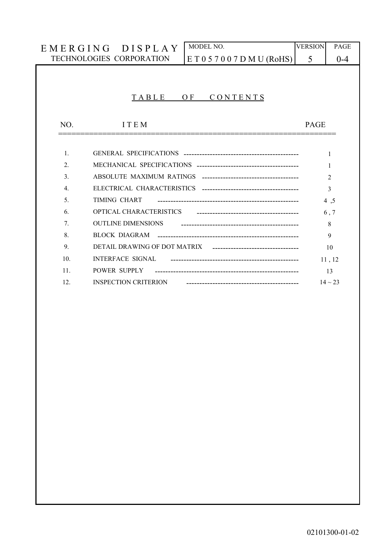|                 | MODEL NO.<br>EMERGING DISPLAY                            | <b>VERSION</b> | PAGE           |
|-----------------|----------------------------------------------------------|----------------|----------------|
|                 | TECHNOLOGIES CORPORATION<br>E T 0 5 7 0 0 7 D M U (RoHS) | 5              | $0 - 4$        |
|                 |                                                          |                |                |
|                 |                                                          |                |                |
|                 | TABLE<br>OF.<br>CONTENTS                                 |                |                |
|                 |                                                          |                |                |
| NO.             | <b>ITEM</b>                                              | <b>PAGE</b>    |                |
|                 |                                                          |                |                |
| $\mathbf{1}$ .  |                                                          |                | 1              |
| $\overline{2}$  |                                                          |                | 1              |
| $\mathcal{E}$   |                                                          |                | $\overline{c}$ |
| $\mathbf{4}$ .  |                                                          |                | 3              |
| 5 <sub>1</sub>  | TIMING CHART                                             |                | 4,5            |
| 6.              | OPTICAL CHARACTERISTICS                                  |                | 6, 7           |
| 7.              | <b>OUTLINE DIMENSIONS</b>                                |                | 8              |
| 8               | BLOCK DIAGRAM                                            |                | 9              |
| 9.              |                                                          |                | 10             |
| 10 <sub>1</sub> | <b>INTERFACE SIGNAL</b>                                  |                | 11, 12         |
| 11.             | POWER SUPPLY                                             |                | 13             |
| 12.             | <b>INSPECTION CRITERION</b>                              |                | $14 \sim 23$   |
|                 |                                                          |                |                |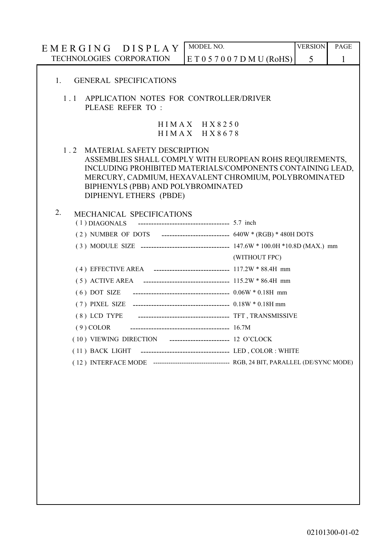|             | EMERGING DISPLAY                                                                                                                                                                                                                                                                      | MODEL NO.                             |                                                         | <b>VERSION</b> | PAGE |  |  |  |  |  |  |  |
|-------------|---------------------------------------------------------------------------------------------------------------------------------------------------------------------------------------------------------------------------------------------------------------------------------------|---------------------------------------|---------------------------------------------------------|----------------|------|--|--|--|--|--|--|--|
|             | TECHNOLOGIES CORPORATION<br>E T 0 5 7 0 0 7 D M U (ROHS)                                                                                                                                                                                                                              |                                       |                                                         |                |      |  |  |  |  |  |  |  |
| $1_{\cdot}$ | <b>GENERAL SPECIFICATIONS</b>                                                                                                                                                                                                                                                         |                                       |                                                         |                |      |  |  |  |  |  |  |  |
| 1.1         | APPLICATION NOTES FOR CONTROLLER/DRIVER<br>PLEASE REFER TO:                                                                                                                                                                                                                           |                                       |                                                         |                |      |  |  |  |  |  |  |  |
|             |                                                                                                                                                                                                                                                                                       | $HIMAX$ $HX$ 8250<br>$HIMAX$ $HX8678$ |                                                         |                |      |  |  |  |  |  |  |  |
| 1.2         | <b>MATERIAL SAFETY DESCRIPTION</b><br>ASSEMBLIES SHALL COMPLY WITH EUROPEAN ROHS REQUIREMENTS,<br>INCLUDING PROHIBITED MATERIALS/COMPONENTS CONTAINING LEAD,<br>MERCURY, CADMIUM, HEXAVALENT CHROMIUM, POLYBROMINATED<br>BIPHENYLS (PBB) AND POLYBROMINATED<br>DIPHENYL ETHERS (PBDE) |                                       |                                                         |                |      |  |  |  |  |  |  |  |
| 2.          | MECHANICAL SPECIFICATIONS<br>------------------------------------ 5.7 inch<br>$(1)$ DIAGONALS<br>(2) NUMBER OF DOTS ---------------------------- 640W * (RGB) * 480H DOTS                                                                                                             |                                       |                                                         |                |      |  |  |  |  |  |  |  |
|             |                                                                                                                                                                                                                                                                                       |                                       | (WITHOUT FPC)                                           |                |      |  |  |  |  |  |  |  |
|             |                                                                                                                                                                                                                                                                                       |                                       |                                                         |                |      |  |  |  |  |  |  |  |
|             |                                                                                                                                                                                                                                                                                       |                                       |                                                         |                |      |  |  |  |  |  |  |  |
|             | $(6)$ DOT SIZE                                                                                                                                                                                                                                                                        |                                       | ------------------------------------- 0.06W * 0.18H mm  |                |      |  |  |  |  |  |  |  |
|             |                                                                                                                                                                                                                                                                                       |                                       |                                                         |                |      |  |  |  |  |  |  |  |
|             |                                                                                                                                                                                                                                                                                       |                                       |                                                         |                |      |  |  |  |  |  |  |  |
|             | $(9)$ COLOR                                                                                                                                                                                                                                                                           |                                       |                                                         |                |      |  |  |  |  |  |  |  |
|             | (10) VIEWING DIRECTION ----------------------- 12 O'CLOCK                                                                                                                                                                                                                             |                                       |                                                         |                |      |  |  |  |  |  |  |  |
|             | (11) BACK LIGHT                                                                                                                                                                                                                                                                       |                                       | ------------------------------------- LED, COLOR: WHITE |                |      |  |  |  |  |  |  |  |
|             |                                                                                                                                                                                                                                                                                       |                                       |                                                         |                |      |  |  |  |  |  |  |  |
|             |                                                                                                                                                                                                                                                                                       |                                       |                                                         |                |      |  |  |  |  |  |  |  |
|             |                                                                                                                                                                                                                                                                                       |                                       |                                                         |                |      |  |  |  |  |  |  |  |
|             |                                                                                                                                                                                                                                                                                       |                                       |                                                         |                |      |  |  |  |  |  |  |  |
|             |                                                                                                                                                                                                                                                                                       |                                       |                                                         |                |      |  |  |  |  |  |  |  |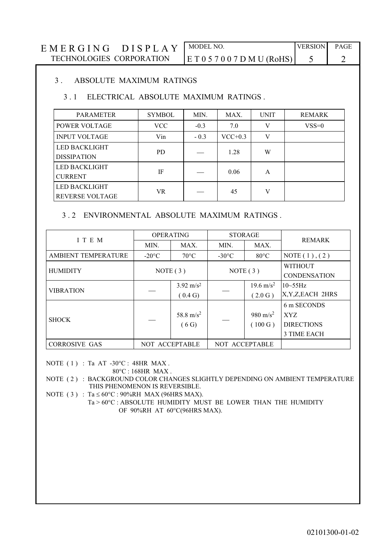| EMERGING DISPLAY                | MODEL NO.                    | <b>VERSION</b> | <b>PAGE</b> |
|---------------------------------|------------------------------|----------------|-------------|
| <b>TECHNOLOGIES CORPORATION</b> | E T 0 5 7 0 0 7 D M U (RoHS) |                |             |

#### 3. ABSOLUTE MAXIMUM RATINGS

#### 3.1 ELECTRICAL ABSOLUTE MAXIMUM RATINGS.

| <b>PARAMETER</b>       | <b>SYMBOL</b> | MIN.   | MAX.      | <b>UNIT</b> | <b>REMARK</b> |
|------------------------|---------------|--------|-----------|-------------|---------------|
| <b>POWER VOLTAGE</b>   | VCC.          | $-0.3$ | 7.0       | V           | $VSS=0$       |
| <b>INPUT VOLTAGE</b>   | Vin           | $-0.3$ | $VCC+0.3$ | V           |               |
| LED BACKLIGHT          | <b>PD</b>     |        | 1.28      | W           |               |
| <b>DISSIPATION</b>     |               |        |           |             |               |
| <b>LED BACKLIGHT</b>   | IF            |        | 0.06      | A           |               |
| <b>CURRENT</b>         |               |        |           |             |               |
| <b>LED BACKLIGHT</b>   |               |        |           | V           |               |
| <b>REVERSE VOLTAGE</b> | VR            |        | 45        |             |               |

#### 3.2 ENVIRONMENTAL ABSOLUTE MAXIMUM RATINGS.

| I T E M              | <b>OPERATING</b> |                       | <b>STORAGE</b>  |                      | <b>REMARK</b>       |  |
|----------------------|------------------|-----------------------|-----------------|----------------------|---------------------|--|
|                      | MIN.             | MAX.<br>MIN.          |                 | MAX.                 |                     |  |
| AMBIENT TEMPERATURE  | $-20^{\circ}$ C  | $70^{\circ}$ C        | $-30^{\circ}$ C | $80^{\circ}$ C       | NOTE $(1)$ , $(2)$  |  |
| <b>HUMIDITY</b>      | NOTE $(3)$       |                       |                 |                      | <b>WITHOUT</b>      |  |
|                      |                  |                       | NOTE $(3)$      |                      | <b>CONDENSATION</b> |  |
| <b>VIBRATION</b>     |                  | $3.92 \text{ m/s}^2$  |                 | $19.6 \text{ m/s}^2$ | $10\sim55\text{Hz}$ |  |
|                      |                  | (0.4 G)               |                 | (2.0 G)              | X, Y, Z, EACH 2HRS  |  |
|                      |                  |                       |                 |                      | 6 m SECONDS         |  |
| <b>SHOCK</b>         |                  | 58.8 m/s <sup>2</sup> |                 | 980 m/s <sup>2</sup> | XYZ                 |  |
|                      |                  | (6G)                  |                 | (100 G)              | <b>DIRECTIONS</b>   |  |
|                      |                  |                       |                 |                      | 3 TIME EACH         |  |
| <b>CORROSIVE GAS</b> | NOT ACCEPTABLE   |                       | NOT ACCEPTABLE  |                      |                     |  |

NOTE  $(1)$ : Ta AT -30°C: 48HR MAX.

 $80^{\circ}$ C: 168HR MAX.

NOTE (2) : BACKGROUND COLOR CHANGES SLIGHTLY DEPENDING ON AMBIENT TEMPERATURE THIS PHENOMENON IS REVERSIBLE.

NOTE (3) : Ta  $\leq 60^{\circ}$ C : 90%RH MAX (96HRS MAX).

Ta > 60°C : ABSOLUTE HUMIDITY MUST BE LOWER THAN THE HUMIDITY OF 90%RH AT 60°C(96HRS MAX).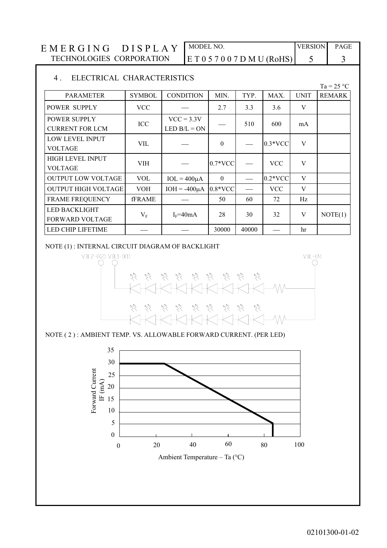MODEL NO. **VERSION** EMERGING DISPLAY PAGE TECHNOLOGIES CORPORATION  $E T 0 5 7 0 0 7 D M U (RoHS)$ 5  $\overline{3}$ 

#### $4.$ ELECTRICAL CHARACTERISTICS

|                                                |               |                                |           |          |            |             | $1a - 2J$ C   |
|------------------------------------------------|---------------|--------------------------------|-----------|----------|------------|-------------|---------------|
| <b>PARAMETER</b>                               | <b>SYMBOL</b> | <b>CONDITION</b>               | MIN.      | TYP.     | MAX.       | <b>UNIT</b> | <b>REMARK</b> |
| POWER SUPPLY                                   | <b>VCC</b>    |                                | 2.7       | 3.3      | 3.6        | V           |               |
| <b>POWER SUPPLY</b><br><b>CURRENT FOR LCM</b>  | ICC           | $VCC = 3.3V$<br>LED $B/L = ON$ |           | 510      | 600        | mA          |               |
| LOW LEVEL INPUT<br><b>VOLTAGE</b>              | VIL           |                                | $\theta$  |          | $0.3*VCC$  | V           |               |
| HIGH LEVEL INPUT<br>VOLTAGE                    | <b>VIH</b>    |                                | $0.7*VCC$ |          | <b>VCC</b> | V           |               |
| <b>OUTPUT LOW VOLTAGE</b>                      | <b>VOL</b>    | $IOL = 400\mu A$               | $\Omega$  |          | $0.2*VCC$  | V           |               |
| <b>OUTPUT HIGH VOLTAGE</b>                     | <b>VOH</b>    | $IOH = -400\mu A$              | $0.8*VCC$ | $\equiv$ | <b>VCC</b> | V           |               |
| <b>FRAME FREQUENCY</b>                         | <b>fFRAME</b> |                                | 50        | 60       | 72         | Hz          |               |
| <b>LED BACKLIGHT</b><br><b>FORWARD VOLTAGE</b> | $V_{\rm F}$   | $I_F = 40mA$                   | 28        | 30       | 32         | V           | NOTE(1)       |
| <b>LED CHIP LIFETIME</b>                       |               |                                | 30000     | 40000    |            | hr          |               |

NOTE (1): INTERNAL CIRCUIT DIAGRAM OF BACKLIGHT



NOTE (2): AMBIENT TEMP. VS. ALLOWABLE FORWARD CURRENT. (PER LED)



02101300-01-02

 $250$ 

 $\blacksquare$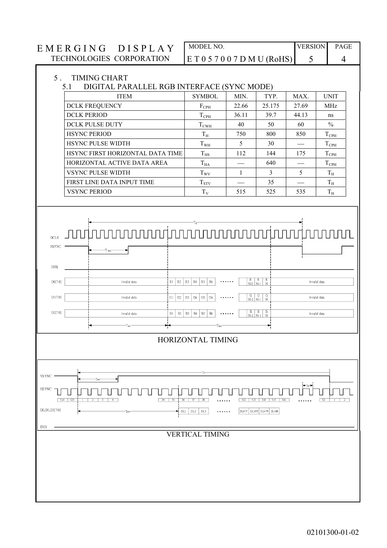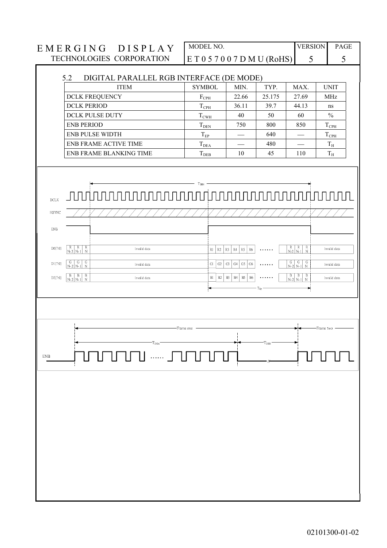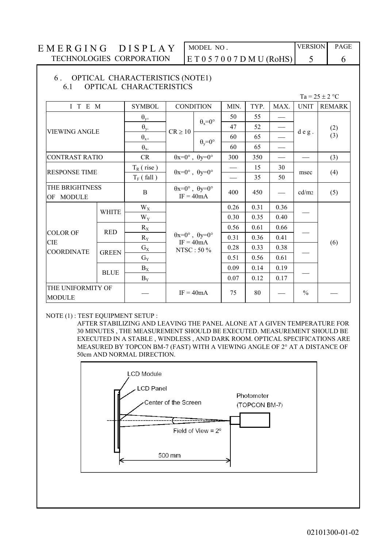## MODEL NO. ET057007DMU(RoHS)

**VERSION** PAGE

6

#### 6. OPTICAL CHARACTERISTICS (NOTE1) OPTICAL CHARACTERISTICS 61

 $Ta = 25 \pm 2$  °C

5

| I T E M                            |              | <b>SYMBOL</b> | <b>CONDITION</b>                                           |                      | MIN.                     | TYP. | MAX.                                      | <b>UNIT</b>   | <b>REMARK</b> |
|------------------------------------|--------------|---------------|------------------------------------------------------------|----------------------|--------------------------|------|-------------------------------------------|---------------|---------------|
|                                    |              | $\theta_{y+}$ |                                                            | $\theta_x = 0^\circ$ | 50                       | 55   |                                           |               |               |
| <b>VIEWING ANGLE</b>               |              | $\theta_{y}$  | $CR \ge 10$                                                |                      | 47                       | 52   |                                           |               | (2)           |
|                                    |              | $\Theta_{x+}$ |                                                            | $\theta_y = 0^\circ$ | 60                       | 65   | $\qquad \qquad \overline{\qquad \qquad }$ | deg.          | (3)           |
|                                    |              | $\theta_{x}$  |                                                            |                      | 60                       | 65   |                                           |               |               |
| <b>CONTRAST RATIO</b>              |              | <b>CR</b>     | $\theta x=0^{\circ}$ , $\theta y=0^{\circ}$                |                      | 300                      | 350  |                                           |               | (3)           |
| <b>RESPONSE TIME</b>               |              | $T_R$ (rise)  |                                                            |                      |                          | 15   | 30                                        | msec          | (4)           |
|                                    |              | $T_F$ (fall)  | $\theta x=0^{\circ}$ , $\theta y=0^{\circ}$                |                      | $\overline{\phantom{0}}$ | 35   | 50                                        |               |               |
| THE BRIGHTNESS<br>OF MODULE        |              | $\, {\bf B}$  | $\theta x=0^{\circ}$ , $\theta y=0^{\circ}$<br>$IF = 40mA$ |                      | 400                      | 450  |                                           | cd/m2         | (5)           |
|                                    | <b>WHITE</b> | $W_X$         |                                                            |                      |                          | 0.31 | 0.36                                      |               |               |
|                                    |              | $W_Y$         |                                                            |                      | 0.30                     | 0.35 | 0.40                                      |               |               |
| <b>COLOR OF</b>                    | <b>RED</b>   | $R_X$         |                                                            |                      | 0.56                     | 0.61 | 0.66                                      |               |               |
| <b>CIE</b>                         |              | $R_Y$         | $\theta x=0^{\circ}$ , $\theta y=0^{\circ}$<br>$IF = 40mA$ |                      | 0.31                     | 0.36 | 0.41                                      |               | (6)           |
| <b>COORDINATE</b>                  | <b>GREEN</b> | $G_X$         | NTSC: 50 %                                                 |                      | 0.28                     | 0.33 | 0.38                                      |               |               |
|                                    |              | $G_Y$         |                                                            |                      | 0.51                     | 0.56 | 0.61                                      |               |               |
|                                    | <b>BLUE</b>  | $B_X$         |                                                            |                      | 0.09                     | 0.14 | 0.19                                      |               |               |
|                                    |              | $B_Y$         |                                                            |                      | 0.07                     | 0.12 | 0.17                                      |               |               |
| THE UNIFORMITY OF<br><b>MODULE</b> |              |               | $IF = 40mA$                                                |                      | 75                       | 80   |                                           | $\frac{0}{0}$ |               |

#### NOTE (1): TEST EQUIPMENT SETUP :

AFTER STABILIZING AND LEAVING THE PANEL ALONE AT A GIVEN TEMPERATURE FOR 30 MINUTES , THE MEASUREMENT SHOULD BE EXECUTED. MEASUREMENT SHOULD BE EXECUTED IN A STABLE , WINDLESS , AND DARK ROOM. OPTICAL SPECIFICATIONS ARE MEASURED BY TOPCON BM-7 (FAST) WITH A VIEWING ANGLE OF 2° AT A DISTANCE OF 50cm AND NORMAL DIRECTION.

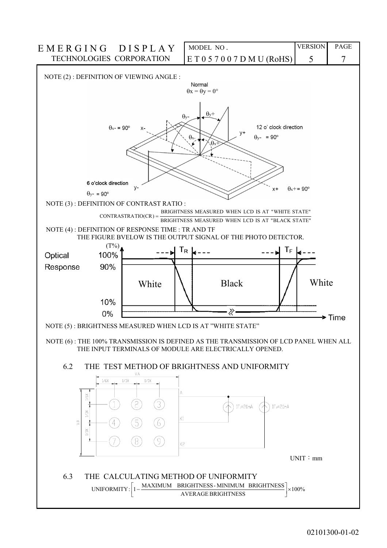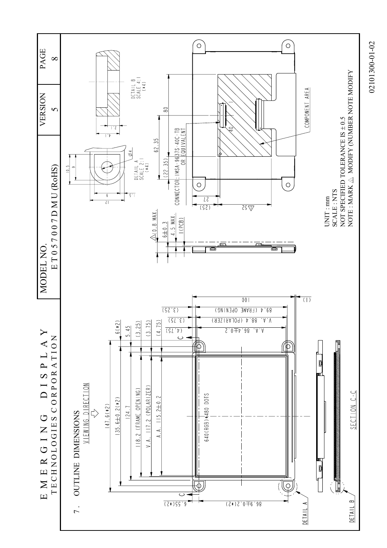

02101300-01-02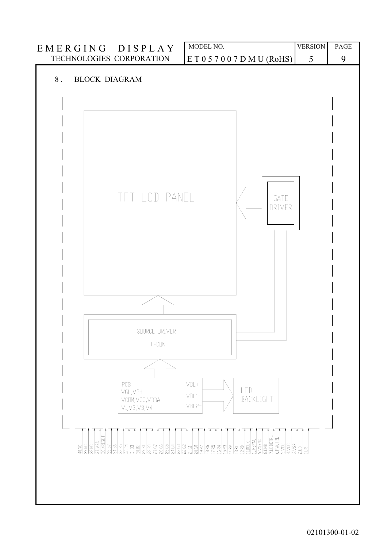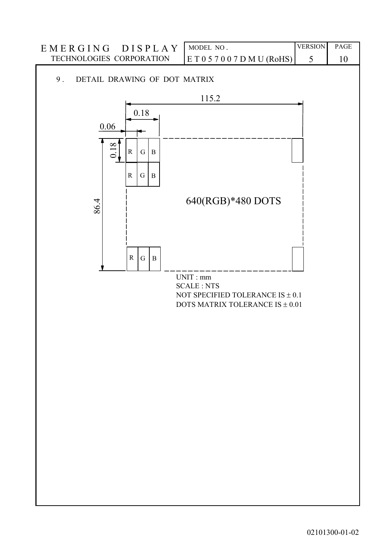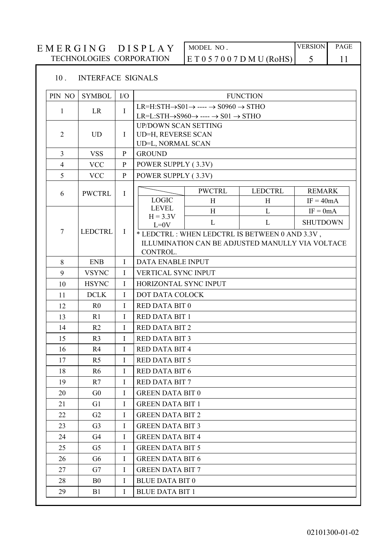#### EMERGING DISPLAY MODEL NO. TECHNOLOGIES CORPORATION  $E T 0 5 7 0 0 7 D M U (RoHS)$

**VERSION** 5

## PAGE 11

#### $10.$ **INTERFACE SIGNALS**

| PIN NO              | <b>SYMBOL</b>  | $\rm LO$     | <b>FUNCTION</b>                                                                   |                                                                               |                                                  |                 |  |  |  |
|---------------------|----------------|--------------|-----------------------------------------------------------------------------------|-------------------------------------------------------------------------------|--------------------------------------------------|-----------------|--|--|--|
|                     |                |              |                                                                                   | $LR=H:STH\rightarrow SO1\rightarrow \cdots \rightarrow SO960\rightarrow STHO$ |                                                  |                 |  |  |  |
| $\mathbf{1}$        | <b>LR</b>      | $\mathbf I$  | $LR = L:STH \rightarrow S960 \rightarrow \cdots \rightarrow S01 \rightarrow STHO$ |                                                                               |                                                  |                 |  |  |  |
|                     |                |              | <b>UP/DOWN SCAN SETTING</b>                                                       |                                                                               |                                                  |                 |  |  |  |
| $\overline{2}$      | <b>UD</b>      | $\bf{I}$     | UD=H, REVERSE SCAN                                                                |                                                                               |                                                  |                 |  |  |  |
|                     |                |              | UD=L, NORMAL SCAN                                                                 |                                                                               |                                                  |                 |  |  |  |
| $\overline{3}$      | <b>VSS</b>     | $\mathbf{P}$ | <b>GROUND</b>                                                                     |                                                                               |                                                  |                 |  |  |  |
| $\overline{4}$<br>5 | <b>VCC</b>     | $\mathbf{P}$ | POWER SUPPLY (3.3V)                                                               |                                                                               |                                                  |                 |  |  |  |
|                     | <b>VCC</b>     | $\mathbf{P}$ | POWER SUPPLY (3.3V)                                                               |                                                                               |                                                  |                 |  |  |  |
| 6                   | <b>PWCTRL</b>  | $\mathbf I$  |                                                                                   | <b>PWCTRL</b>                                                                 | <b>LEDCTRL</b>                                   | <b>REMARK</b>   |  |  |  |
|                     |                |              | <b>LOGIC</b>                                                                      | H                                                                             | H                                                | $IF = 40mA$     |  |  |  |
|                     |                |              | <b>LEVEL</b><br>$H = 3.3V$                                                        | H                                                                             | L                                                | $IF = 0mA$      |  |  |  |
|                     |                |              | $L=0V$                                                                            | L                                                                             | L                                                | <b>SHUTDOWN</b> |  |  |  |
| $7\phantom{.0}$     | <b>LEDCTRL</b> | $\bf{I}$     | * LEDCTRL : WHEN LEDCTRL IS BETWEEN 0 AND 3.3V,                                   |                                                                               |                                                  |                 |  |  |  |
|                     |                |              | CONTROL.                                                                          |                                                                               | ILLUMINATION CAN BE ADJUSTED MANULLY VIA VOLTACE |                 |  |  |  |
| 8                   | <b>ENB</b>     | $\bf{I}$     | <b>DATA ENABLE INPUT</b>                                                          |                                                                               |                                                  |                 |  |  |  |
| 9                   | <b>VSYNC</b>   | $\bf{I}$     | <b>VERTICAL SYNC INPUT</b>                                                        |                                                                               |                                                  |                 |  |  |  |
| 10                  | <b>HSYNC</b>   | $\mathbf I$  | HORIZONTAL SYNC INPUT                                                             |                                                                               |                                                  |                 |  |  |  |
| 11                  | <b>DCLK</b>    | $\mathbf{I}$ | DOT DATA COLOCK                                                                   |                                                                               |                                                  |                 |  |  |  |
| 12                  | R <sub>0</sub> | $\mathbf I$  | <b>RED DATA BIT 0</b>                                                             |                                                                               |                                                  |                 |  |  |  |
| 13                  | R <sub>1</sub> | $\bf{I}$     | <b>RED DATA BIT 1</b>                                                             |                                                                               |                                                  |                 |  |  |  |
| 14                  | R <sub>2</sub> | $\mathbf I$  | <b>RED DATA BIT 2</b>                                                             |                                                                               |                                                  |                 |  |  |  |
| 15                  | R <sub>3</sub> | I            | <b>RED DATA BIT 3</b>                                                             |                                                                               |                                                  |                 |  |  |  |
| 16                  | R4             | $\mathbf I$  | <b>RED DATA BIT 4</b>                                                             |                                                                               |                                                  |                 |  |  |  |
| 17                  | R <sub>5</sub> | $\mathbf I$  | <b>RED DATA BIT 5</b>                                                             |                                                                               |                                                  |                 |  |  |  |
| 18                  | R <sub>6</sub> | $\mathbf I$  | <b>RED DATA BIT 6</b>                                                             |                                                                               |                                                  |                 |  |  |  |
| 19                  | R7             | I            | <b>RED DATA BIT 7</b>                                                             |                                                                               |                                                  |                 |  |  |  |
| 20                  | G <sub>0</sub> | I            | <b>GREEN DATA BIT 0</b>                                                           |                                                                               |                                                  |                 |  |  |  |
| 21                  | G <sub>1</sub> | $\mathbf I$  | <b>GREEN DATA BIT 1</b>                                                           |                                                                               |                                                  |                 |  |  |  |
| 22                  | G2             | $\mathbf I$  | <b>GREEN DATA BIT 2</b>                                                           |                                                                               |                                                  |                 |  |  |  |
| 23                  | G <sub>3</sub> | $\mathbf I$  | <b>GREEN DATA BIT 3</b>                                                           |                                                                               |                                                  |                 |  |  |  |
| 24                  | G4             | I            | <b>GREEN DATA BIT 4</b>                                                           |                                                                               |                                                  |                 |  |  |  |
| 25                  | G5             | I            | <b>GREEN DATA BIT 5</b>                                                           |                                                                               |                                                  |                 |  |  |  |
| 26                  | G <sub>6</sub> | I            | <b>GREEN DATA BIT 6</b>                                                           |                                                                               |                                                  |                 |  |  |  |
| 27                  | G7             | $\mathbf I$  |                                                                                   | <b>GREEN DATA BIT 7</b>                                                       |                                                  |                 |  |  |  |
| 28                  | B <sub>0</sub> | $\bf{I}$     | <b>BLUE DATA BIT 0</b>                                                            |                                                                               |                                                  |                 |  |  |  |
| 29                  | B1             | $\bf{I}$     | <b>BLUE DATA BIT 1</b>                                                            |                                                                               |                                                  |                 |  |  |  |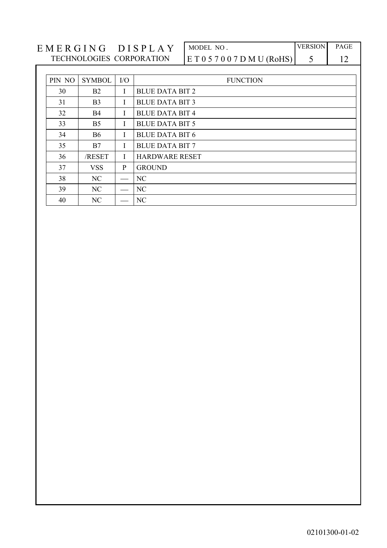| EMERGING<br><b>DISPLA</b> | MODEL NO                     | <b>VERSION</b> | <b>PAGE</b> |
|---------------------------|------------------------------|----------------|-------------|
| TECHNOLOGIES CORPORATION  | E T 0 5 7 0 0 7 D M U (RoHS) |                |             |

| PIN NO | <b>SYMBOL</b>  | $\rm I/O$ | <b>FUNCTION</b>        |
|--------|----------------|-----------|------------------------|
| 30     | <b>B2</b>      | I         | <b>BLUE DATA BIT 2</b> |
| 31     | B <sub>3</sub> | L         | <b>BLUE DATA BIT 3</b> |
| 32     | <b>B4</b>      | I         | <b>BLUE DATA BIT 4</b> |
| 33     | B <sub>5</sub> | I         | <b>BLUE DATA BIT 5</b> |
| 34     | <b>B6</b>      | I         | <b>BLUE DATA BIT 6</b> |
| 35     | B7             | I         | <b>BLUE DATA BIT 7</b> |
| 36     | /RESET         | L         | <b>HARDWARE RESET</b>  |
| 37     | <b>VSS</b>     | P         | <b>GROUND</b>          |
| 38     | NC             |           | NC                     |
| 39     | NC.            |           | NC                     |
| 40     | NC             |           | NC                     |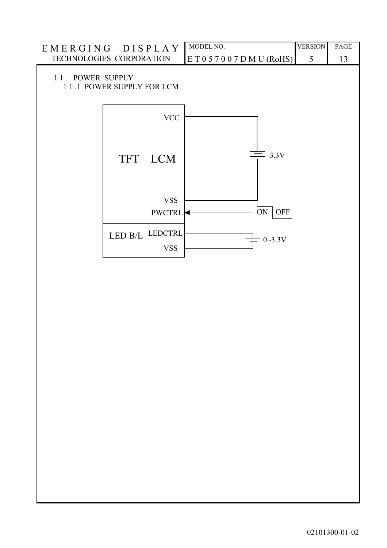| EMERGING DISPLAY<br>TECHNOLOGIES CORPORATION |                           |                           | MODEL NO.                 | <b>VERSION</b> | PAGE |
|----------------------------------------------|---------------------------|---------------------------|---------------------------|----------------|------|
|                                              |                           |                           | ET057007DMU(RoHS)         | 5              | 13   |
| 11. POWER SUPPLY                             | 11.1 POWER SUPPLY FOR LCM |                           |                           |                |      |
|                                              |                           | $\ensuremath{\text{VCC}}$ |                           |                |      |
|                                              | TFT LCM                   |                           | $\equiv$ 3.3V             |                |      |
|                                              |                           | <b>VSS</b><br>PWCTRL      | $\mbox{ON}$<br><b>OFF</b> |                |      |
|                                              | LED B/L LEDCTRL           | <b>VSS</b>                | $0 - 3.3V$                |                |      |
|                                              |                           |                           |                           |                |      |
|                                              |                           |                           |                           |                |      |
|                                              |                           |                           |                           |                |      |
|                                              |                           |                           |                           |                |      |
|                                              |                           |                           |                           |                |      |
|                                              |                           |                           |                           |                |      |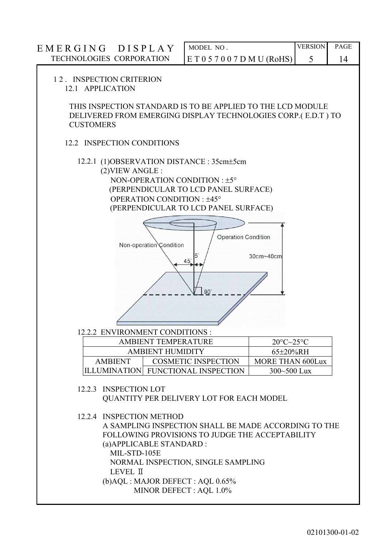| EMERGING DISPLAY                                                 |                                                                                                                                                                                                                                                       | MODEL NO.                                      |                                       | <b>VERSION</b> | PAGE |
|------------------------------------------------------------------|-------------------------------------------------------------------------------------------------------------------------------------------------------------------------------------------------------------------------------------------------------|------------------------------------------------|---------------------------------------|----------------|------|
| TECHNOLOGIES CORPORATION                                         |                                                                                                                                                                                                                                                       | E T 0 5 7 0 0 7 D M U (RoHS)                   |                                       | 5              | 14   |
| 12. INSPECTION CRITERION<br>12.1 APPLICATION<br><b>CUSTOMERS</b> | THIS INSPECTION STANDARD IS TO BE APPLIED TO THE LCD MODULE<br>DELIVERED FROM EMERGING DISPLAY TECHNOLOGIES CORP.(E.D.T) TO                                                                                                                           |                                                |                                       |                |      |
|                                                                  | 12.2 INSPECTION CONDITIONS                                                                                                                                                                                                                            |                                                |                                       |                |      |
|                                                                  | 12.2.1 (1) OBSERVATION DISTANCE: 35cm + 5cm<br>(2) VIEW ANGLE:<br>NON-OPERATION CONDITION : ±5°<br>(PERPENDICULAR TO LCD PANEL SURFACE)<br>OPERATION CONDITION: ±45°<br>(PERPENDICULAR TO LCD PANEL SURFACE)<br>Non-operation Condition               | <b>Operation Condition</b><br>$45^\circ$<br>90 | 30cm~40cm                             |                |      |
|                                                                  | 12.2.2 ENVIRONMENT CONDITIONS :<br><b>AMBIENT TEMPERATURE</b>                                                                                                                                                                                         |                                                | $20^{\circ}$ C $\sim$ 25 $^{\circ}$ C |                |      |
|                                                                  | <b>AMBIENT HUMIDITY</b>                                                                                                                                                                                                                               |                                                | 65±20%RH                              |                |      |
| <b>AMBIENT</b>                                                   |                                                                                                                                                                                                                                                       | <b>COSMETIC INSPECTION</b>                     | <b>MORE THAN 600Lux</b>               |                |      |
|                                                                  | ILLUMINATION FUNCTIONAL INSPECTION                                                                                                                                                                                                                    |                                                | 300~500 Lux                           |                |      |
|                                                                  | 12.2.3 INSPECTION LOT<br>QUANTITY PER DELIVERY LOT FOR EACH MODEL<br>12.2.4 INSPECTION METHOD<br>A SAMPLING INSPECTION SHALL BE MADE ACCORDING TO THE<br>FOLLOWING PROVISIONS TO JUDGE THE ACCEPTABILITY<br>(a) APPLICABLE STANDARD :<br>MIL-STD-105E |                                                |                                       |                |      |
|                                                                  | NORMAL INSPECTION, SINGLE SAMPLING<br>LEVEL II<br>(b)AQL : MAJOR DEFECT : AQL 0.65%                                                                                                                                                                   |                                                |                                       |                |      |

MINOR DEFECT : AQL 1.0%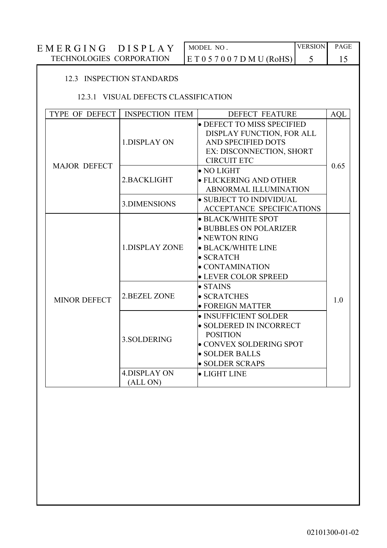| EMERGING<br><b>DISPLA</b> | MODEL NO                     | <b>VERSION</b> | <b>PAGE</b> |  |
|---------------------------|------------------------------|----------------|-------------|--|
| TECHNOLOGIES CORPORATION  | E T 0 5 7 0 0 7 D M U (RoHS) |                |             |  |

#### 12.3 INSPECTION STANDARDS

#### 12.3.1 VISUAL DEFECTS CLASSIFICATION

| TYPE OF DEFECT      | <b>INSPECTION ITEM</b>          | <b>DEFECT FEATURE</b>                                                                                                                                                              | <b>AQL</b> |
|---------------------|---------------------------------|------------------------------------------------------------------------------------------------------------------------------------------------------------------------------------|------------|
| <b>MAJOR DEFECT</b> | <b>1.DISPLAY ON</b>             | • DEFECT TO MISS SPECIFIED<br>DISPLAY FUNCTION, FOR ALL<br>AND SPECIFIED DOTS<br>EX: DISCONNECTION, SHORT<br><b>CIRCUIT ETC</b>                                                    |            |
|                     | 2.BACKLIGHT                     | $\bullet$ NO LIGHT<br>$\bullet$ FLICKERING AND OTHER<br><b>ABNORMAL ILLUMINATION</b>                                                                                               | 0.65       |
|                     | 3.DIMENSIONS                    | $\bullet$ SUBJECT TO INDIVIDUAL<br><b>ACCEPTANCE SPECIFICATIONS</b>                                                                                                                |            |
| <b>MINOR DEFECT</b> | <b>1.DISPLAY ZONE</b>           | • BLACK/WHITE SPOT<br>· BUBBLES ON POLARIZER<br>$\bullet$ NEWTON RING<br>$\bullet$ BLACK/WHITE LINE<br>$\bullet$ SCRATCH<br>$\bullet$ CONTAMINATION<br><b>• LEVER COLOR SPREED</b> |            |
|                     | <b>2.BEZEL ZONE</b>             | $\bullet$ STAINS<br>· SCRATCHES<br>• FOREIGN MATTER                                                                                                                                | 1.0        |
|                     | 3. SOLDERING                    | • INSUFFICIENT SOLDER<br>• SOLDERED IN INCORRECT<br><b>POSITION</b><br>• CONVEX SOLDERING SPOT<br>· SOLDER BALLS<br>• SOLDER SCRAPS                                                |            |
|                     | <b>4.DISPLAY ON</b><br>(ALL ON) | • LIGHT LINE                                                                                                                                                                       |            |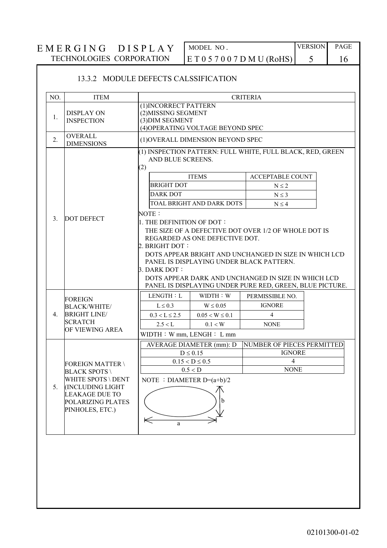### MODEL, NO.  $E T 0 5 7 0 0 7 D M U (ROHS)$

**VERSION** 5

PAGE 16

#### 13.3.2 MODULE DEFECTS CALSSIFICATION  $NO.$ **ITEM CRITERIA** (1) INCORRECT PATTERN **DISPLAY ON** (2) MISSING SEGMENT  $\mathbf{1}$ . **INSPECTION** (3) DIM SEGMENT (4) OPERATING VOLTAGE BEYOND SPEC OVERALL.  $\overline{2}$ . (1) OVERALL DIMENSION BEYOND SPEC **DIMENSIONS** (1) INSPECTION PATTERN: FULL WHITE, FULL BLACK, RED, GREEN AND BLUE SCREENS.  $(2)$ **ITEMS ACCEPTABLE COUNT BRIGHT DOT**  $N \leq 2$ **DARK DOT**  $N\leq 3$ **TOAL BRIGHT AND DARK DOTS**  $N < 4$ NOTE: **DOT DEFECT**  $3<sub>1</sub>$ 1. THE DEFINITION OF DOT: THE SIZE OF A DEFECTIVE DOT OVER 1/2 OF WHOLE DOT IS REGARDED AS ONE DEFECTIVE DOT. 2. BRIGHT DOT: DOTS APPEAR BRIGHT AND UNCHANGED IN SIZE IN WHICH LCD PANEL IS DISPLAYING UNDER BLACK PATTERN 3. DARK DOT: DOTS APPEAR DARK AND UNCHANGED IN SIZE IN WHICH LCD PANEL IS DISPLAYING UNDER PURE RED, GREEN, BLUE PICTURE. LENGTH: L WIDTH: W PERMISSIBLE NO. **FOREIGN IGNORE**  $L \leq 0.3$  $W \leq 0.05$ **BLACK/WHITE/**  $\overline{4}$ . **BRIGHT LINE/**  $0.05 < W \le 0.1$  $\overline{4}$  $0.3 < L \le 2.5$ **SCRATCH**  $0.1 < W$  $2.5 < L$ **NONE** OF VIEWING AREA  $WIDTH : W mm, LENGH : L mm$ AVERAGE DIAMETER (mm): D NUMBER OF PIECES PERMITTED **IGNORE**  $D \leq 0.15$  $0.15 < D \le 0.5$  $\overline{4}$ **FOREIGN MATTER\**  $0.5 < D$ **NONE BLACK SPOTS WHITE SPOTS \ DENT** NOTE : DIAMETER  $D=(a+b)/2$  $5<sub>1</sub>$ **(INCLUDING LIGHT) LEAKAGE DUE TO** POLARIZING PLATES PINHOLES, ETC.)  $\Leftarrow$ a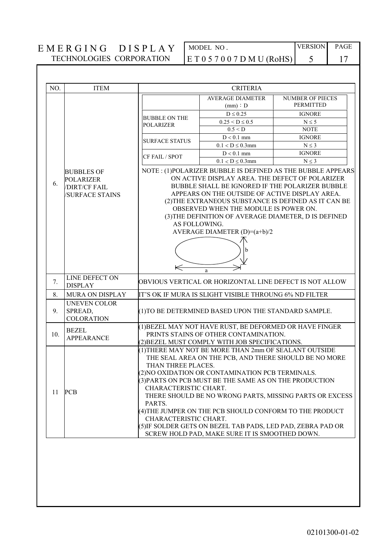MODEL NO.  $E T 0 5 7 0 0 7 D M U (RoHS)$ 

| NO. | <b>ITEM</b>                                                                      |                                                                                | <b>CRITERIA</b>                                                                                                                                                                                                                                                                                                                                                                                                                                            |                                                                                                                    |
|-----|----------------------------------------------------------------------------------|--------------------------------------------------------------------------------|------------------------------------------------------------------------------------------------------------------------------------------------------------------------------------------------------------------------------------------------------------------------------------------------------------------------------------------------------------------------------------------------------------------------------------------------------------|--------------------------------------------------------------------------------------------------------------------|
|     |                                                                                  |                                                                                | <b>AVERAGE DIAMETER</b><br>(mm) : D                                                                                                                                                                                                                                                                                                                                                                                                                        | <b>NUMBER OF PIECES</b><br><b>PERMITTED</b>                                                                        |
|     |                                                                                  |                                                                                | $D \leq 0.25$                                                                                                                                                                                                                                                                                                                                                                                                                                              | <b>IGNORE</b>                                                                                                      |
|     |                                                                                  | <b>BUBBLE ON THE</b><br><b>POLARIZER</b>                                       | $0.25 < D \le 0.5$                                                                                                                                                                                                                                                                                                                                                                                                                                         | $N \leq 5$                                                                                                         |
|     |                                                                                  |                                                                                | 0.5 < D                                                                                                                                                                                                                                                                                                                                                                                                                                                    | <b>NOTE</b>                                                                                                        |
|     |                                                                                  | <b>SURFACE STATUS</b>                                                          | $D < 0.1$ mm                                                                                                                                                                                                                                                                                                                                                                                                                                               | <b>IGNORE</b>                                                                                                      |
|     |                                                                                  |                                                                                | $0.1 < D \le 0.3$ mm                                                                                                                                                                                                                                                                                                                                                                                                                                       | $N \leq 3$                                                                                                         |
|     |                                                                                  | CF FAIL / SPOT                                                                 | $D < 0.1$ mm                                                                                                                                                                                                                                                                                                                                                                                                                                               | <b>IGNORE</b>                                                                                                      |
|     |                                                                                  |                                                                                | $0.1 < D \le 0.3$ mm                                                                                                                                                                                                                                                                                                                                                                                                                                       | $N \leq 3$                                                                                                         |
| 6.  | <b>BUBBLES OF</b><br><b>POLARIZER</b><br>/DIRT/CF FAIL<br><b>/SURFACE STAINS</b> | AS FOLLOWING.<br>$\Leftarrow$                                                  | ON ACTIVE DISPLAY AREA. THE DEFECT OF POLARIZER<br>BUBBLE SHALL BE IGNORED IF THE POLARIZER BUBBLE<br>APPEARS ON THE OUTSIDE OF ACTIVE DISPLAY AREA.<br>OBSERVED WHEN THE MODULE IS POWER ON.<br>(3) THE DEFINITION OF AVERAGE DIAMETER, D IS DEFINED<br>AVERAGE DIAMETER $(D)=(a+b)/2$<br>a                                                                                                                                                               | NOTE: (1)POLARIZER BUBBLE IS DEFINED AS THE BUBBLE APPEARS<br>(2) THE EXTRANEOUS SUBSTANCE IS DEFINED AS IT CAN BE |
| 7.  | LINE DEFECT ON<br><b>DISPLAY</b>                                                 |                                                                                | OBVIOUS VERTICAL OR HORIZONTAL LINE DEFECT IS NOT ALLOW                                                                                                                                                                                                                                                                                                                                                                                                    |                                                                                                                    |
| 8.  | MURA ON DISPLAY                                                                  |                                                                                | IT'S OK IF MURA IS SLIGHT VISIBLE THROUNG 6% ND FILTER                                                                                                                                                                                                                                                                                                                                                                                                     |                                                                                                                    |
| 9.  | <b>UNEVEN COLOR</b><br>SPREAD,<br><b>COLORATION</b>                              |                                                                                | (1) TO BE DETERMINED BASED UPON THE STANDARD SAMPLE.                                                                                                                                                                                                                                                                                                                                                                                                       |                                                                                                                    |
| 10. | <b>BEZEL</b><br><b>APPEARANCE</b>                                                |                                                                                | (1) BEZEL MAY NOT HAVE RUST, BE DEFORMED OR HAVE FINGER<br>PRINTS STAINS OF OTHER CONTAMINATION.                                                                                                                                                                                                                                                                                                                                                           |                                                                                                                    |
| 11  | <b>PCB</b>                                                                       | THAN THREE PLACES.<br>CHARACTERISTIC CHART.<br>PARTS.<br>CHARACTERISTIC CHART. | (2) BEZEL MUST COMPLY WITH JOB SPECIFICATIONS.<br>(1) THERE MAY NOT BE MORE THAN 2mm OF SEALANT OUTSIDE<br>THE SEAL AREA ON THE PCB, AND THERE SHOULD BE NO MORE<br>(2) NO OXIDATION OR CONTAMINATION PCB TERMINALS.<br>(3) PARTS ON PCB MUST BE THE SAME AS ON THE PRODUCTION<br>(4) THE JUMPER ON THE PCB SHOULD CONFORM TO THE PRODUCT<br>(5) IF SOLDER GETS ON BEZEL TAB PADS, LED PAD, ZEBRA PAD OR<br>SCREW HOLD PAD, MAKE SURE IT IS SMOOTHED DOWN. | THERE SHOULD BE NO WRONG PARTS, MISSING PARTS OR EXCESS                                                            |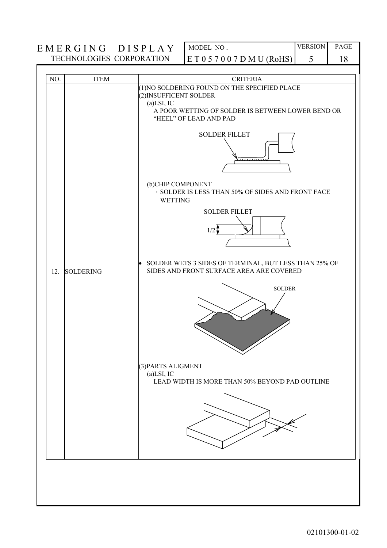# $\begin{tabular}{l|c|c|c|c|c} \hline \multicolumn{1}{c|}{EMERGING} & DISPLAY & \multicolumn{1}{c|}{\text{MODEL NO}}. \\\hline \multicolumn{1}{c|}{\text{TECHNOLOGIES CORPORTION}} & E\ T\ 0\ 5\ 7\ 0\ 0\ 7\ D\ M\ U\ (RoHS) & 5 \\ \hline \end{tabular} \label{eq:1}$

**VERSION** PAGE

18

| NO. | <b>ITEM</b>      | <b>CRITERIA</b>                                                                                                                                                                                                                                                                                                            |
|-----|------------------|----------------------------------------------------------------------------------------------------------------------------------------------------------------------------------------------------------------------------------------------------------------------------------------------------------------------------|
|     |                  | (1) NO SOLDERING FOUND ON THE SPECIFIED PLACE<br>(2) INSUFFICENT SOLDER<br>$(a)$ LSI, IC<br>A POOR WETTING OF SOLDER IS BETWEEN LOWER BEND OR<br>"HEEL" OF LEAD AND PAD<br><b>SOLDER FILLET</b><br>(b)CHIP COMPONENT<br>· SOLDER IS LESS THAN 50% OF SIDES AND FRONT FACE<br><b>WETTING</b><br><b>SOLDER FILLET</b><br>1/2 |
| 12. | <b>SOLDERING</b> | SOLDER WETS 3 SIDES OF TERMINAL, BUT LESS THAN 25% OF<br>$\bullet$<br>SIDES AND FRONT SURFACE AREA ARE COVERED<br><b>SOLDER</b>                                                                                                                                                                                            |
|     |                  | (3) PARTS ALIGMENT<br>$(a)$ LSI, IC<br>LEAD WIDTH IS MORE THAN 50% BEYOND PAD OUTLINE                                                                                                                                                                                                                                      |
|     |                  |                                                                                                                                                                                                                                                                                                                            |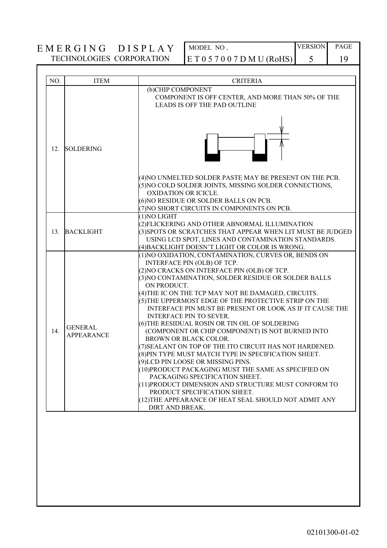MODEL NO.  $E T 0 5 7 0 0 7 D M U (RoHS)$ 

**VERSION** PAGE

19

5

| NO.      | <b>ITEM</b>                         | <b>CRITERIA</b>                                                                                                                                                                                                                                                                                                                                                                                                                                                                                                                                                                                                                                                                                                                                                                                                                                                                                                                                                                      |
|----------|-------------------------------------|--------------------------------------------------------------------------------------------------------------------------------------------------------------------------------------------------------------------------------------------------------------------------------------------------------------------------------------------------------------------------------------------------------------------------------------------------------------------------------------------------------------------------------------------------------------------------------------------------------------------------------------------------------------------------------------------------------------------------------------------------------------------------------------------------------------------------------------------------------------------------------------------------------------------------------------------------------------------------------------|
|          |                                     | (b)CHIP COMPONENT<br>COMPONENT IS OFF CENTER, AND MORE THAN 50% OF THE<br><b>LEADS IS OFF THE PAD OUTLINE</b>                                                                                                                                                                                                                                                                                                                                                                                                                                                                                                                                                                                                                                                                                                                                                                                                                                                                        |
| 12.      | <b>SOLDERING</b>                    |                                                                                                                                                                                                                                                                                                                                                                                                                                                                                                                                                                                                                                                                                                                                                                                                                                                                                                                                                                                      |
|          |                                     | (4) NO UNMELTED SOLDER PASTE MAY BE PRESENT ON THE PCB.<br>5) NO COLD SOLDER JOINTS, MISSING SOLDER CONNECTIONS,<br>OXIDATION OR ICICLE.<br>6) NO RESIDUE OR SOLDER BALLS ON PCB.<br>(7) NO SHORT CIRCUITS IN COMPONENTS ON PCB.                                                                                                                                                                                                                                                                                                                                                                                                                                                                                                                                                                                                                                                                                                                                                     |
| $13_{-}$ | <b>BACKLIGHT</b>                    | (1) NO LIGHT<br>(2) FLICKERING AND OTHER ABNORMAL ILLUMINATION<br>(3) SPOTS OR SCRATCHES THAT APPEAR WHEN LIT MUST BE JUDGED<br>USING LCD SPOT, LINES AND CONTAMINATION STANDARDS.<br>(4) BACKLIGHT DOESN'T LIGHT OR COLOR IS WRONG.                                                                                                                                                                                                                                                                                                                                                                                                                                                                                                                                                                                                                                                                                                                                                 |
| 14.      | <b>GENERAL</b><br><b>APPEARANCE</b> | (1) NO OXIDATION, CONTAMINATION, CURVES OR, BENDS ON<br>INTERFACE PIN (OLB) OF TCP.<br>(2) NO CRACKS ON INTERFACE PIN (OLB) OF TCP.<br>(3) NO CONTAMINATION, SOLDER RESIDUE OR SOLDER BALLS<br>ON PRODUCT.<br>(4) THE IC ON THE TCP MAY NOT BE DAMAGED, CIRCUITS.<br>(5) THE UPPERMOST EDGE OF THE PROTECTIVE STRIP ON THE<br>INTERFACE PIN MUST BE PRESENT OR LOOK AS IF IT CAUSE THE<br><b>INTERFACE PIN TO SEVER.</b><br>(6) THE RESIDUAL ROSIN OR TIN OIL OF SOLDERING<br>(COMPONENT OR CHIP COMPONENT) IS NOT BURNED INTO<br><b>BROWN OR BLACK COLOR.</b><br>(7) SEALANT ON TOP OF THE ITO CIRCUIT HAS NOT HARDENED.<br>(8) PIN TYPE MUST MATCH TYPE IN SPECIFICATION SHEET.<br>(9)LCD PIN LOOSE OR MISSING PINS.<br>(10) PRODUCT PACKAGING MUST THE SAME AS SPECIFIED ON<br>PACKAGING SPECIFICATION SHEET.<br>(11) PRODUCT DIMENSION AND STRUCTURE MUST CONFORM TO<br>PRODUCT SPECIFICATION SHEET.<br>(12) THE APPEARANCE OF HEAT SEAL SHOULD NOT ADMIT ANY<br>DIRT AND BREAK. |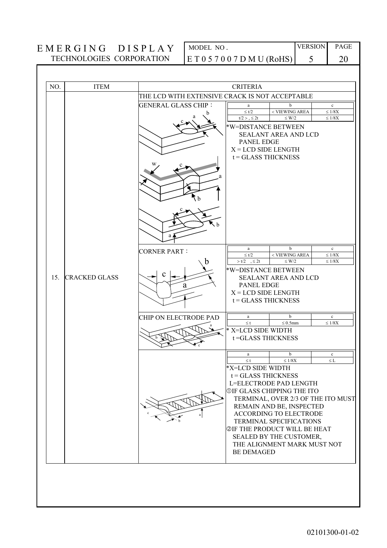MODEL NO.  $E T 0 5 7 0 0 7 D M U (RoHS)$ 

20

|                      | THE LCD WITH EXTENSIVE CRACK IS NOT ACCEPTABLE |                          |                                                                 |                                                                                                                                                                                                                                                                                                                                                                                                                                                                                                                                                                                                                                                                                                               |
|----------------------|------------------------------------------------|--------------------------|-----------------------------------------------------------------|---------------------------------------------------------------------------------------------------------------------------------------------------------------------------------------------------------------------------------------------------------------------------------------------------------------------------------------------------------------------------------------------------------------------------------------------------------------------------------------------------------------------------------------------------------------------------------------------------------------------------------------------------------------------------------------------------------------|
|                      | <b>GENERAL GLASS CHIP:</b>                     | a<br>$\leq t/2$          | b<br>< VIEWING AREA                                             | $\mathbf c$<br>$\leq 1/8X$                                                                                                                                                                                                                                                                                                                                                                                                                                                                                                                                                                                                                                                                                    |
|                      |                                                | t/2 > 0.52t              | $\leq$ W/2                                                      | $\leq 1/8X$                                                                                                                                                                                                                                                                                                                                                                                                                                                                                                                                                                                                                                                                                                   |
|                      |                                                |                          |                                                                 |                                                                                                                                                                                                                                                                                                                                                                                                                                                                                                                                                                                                                                                                                                               |
|                      |                                                |                          |                                                                 |                                                                                                                                                                                                                                                                                                                                                                                                                                                                                                                                                                                                                                                                                                               |
|                      |                                                |                          |                                                                 |                                                                                                                                                                                                                                                                                                                                                                                                                                                                                                                                                                                                                                                                                                               |
|                      | h                                              |                          |                                                                 |                                                                                                                                                                                                                                                                                                                                                                                                                                                                                                                                                                                                                                                                                                               |
|                      | a                                              |                          |                                                                 |                                                                                                                                                                                                                                                                                                                                                                                                                                                                                                                                                                                                                                                                                                               |
|                      |                                                |                          | b                                                               | $\mathbf c$                                                                                                                                                                                                                                                                                                                                                                                                                                                                                                                                                                                                                                                                                                   |
|                      |                                                | $\leq t/2$               | < VIEWING AREA                                                  | $\leq 1/8\mathrm{X}$<br>$\leq 1/8X$                                                                                                                                                                                                                                                                                                                                                                                                                                                                                                                                                                                                                                                                           |
|                      |                                                |                          |                                                                 |                                                                                                                                                                                                                                                                                                                                                                                                                                                                                                                                                                                                                                                                                                               |
| <b>CRACKED GLASS</b> |                                                |                          |                                                                 |                                                                                                                                                                                                                                                                                                                                                                                                                                                                                                                                                                                                                                                                                                               |
|                      | a                                              |                          |                                                                 |                                                                                                                                                                                                                                                                                                                                                                                                                                                                                                                                                                                                                                                                                                               |
|                      |                                                |                          |                                                                 |                                                                                                                                                                                                                                                                                                                                                                                                                                                                                                                                                                                                                                                                                                               |
|                      |                                                |                          |                                                                 |                                                                                                                                                                                                                                                                                                                                                                                                                                                                                                                                                                                                                                                                                                               |
|                      | CHIP ON ELECTRODE PAD                          | a                        | b                                                               | $\mathbf c$<br>$\leq 1/8 \rm X$                                                                                                                                                                                                                                                                                                                                                                                                                                                                                                                                                                                                                                                                               |
|                      |                                                |                          |                                                                 |                                                                                                                                                                                                                                                                                                                                                                                                                                                                                                                                                                                                                                                                                                               |
|                      |                                                |                          |                                                                 |                                                                                                                                                                                                                                                                                                                                                                                                                                                                                                                                                                                                                                                                                                               |
|                      |                                                | a                        | b                                                               | $\mathbf c$                                                                                                                                                                                                                                                                                                                                                                                                                                                                                                                                                                                                                                                                                                   |
|                      |                                                |                          |                                                                 | $\leq$ L                                                                                                                                                                                                                                                                                                                                                                                                                                                                                                                                                                                                                                                                                                      |
|                      |                                                |                          |                                                                 |                                                                                                                                                                                                                                                                                                                                                                                                                                                                                                                                                                                                                                                                                                               |
|                      |                                                |                          |                                                                 |                                                                                                                                                                                                                                                                                                                                                                                                                                                                                                                                                                                                                                                                                                               |
|                      |                                                |                          |                                                                 |                                                                                                                                                                                                                                                                                                                                                                                                                                                                                                                                                                                                                                                                                                               |
|                      |                                                |                          |                                                                 |                                                                                                                                                                                                                                                                                                                                                                                                                                                                                                                                                                                                                                                                                                               |
|                      |                                                |                          |                                                                 |                                                                                                                                                                                                                                                                                                                                                                                                                                                                                                                                                                                                                                                                                                               |
|                      |                                                |                          |                                                                 |                                                                                                                                                                                                                                                                                                                                                                                                                                                                                                                                                                                                                                                                                                               |
|                      |                                                |                          |                                                                 |                                                                                                                                                                                                                                                                                                                                                                                                                                                                                                                                                                                                                                                                                                               |
|                      |                                                |                          |                                                                 |                                                                                                                                                                                                                                                                                                                                                                                                                                                                                                                                                                                                                                                                                                               |
|                      |                                                |                          |                                                                 |                                                                                                                                                                                                                                                                                                                                                                                                                                                                                                                                                                                                                                                                                                               |
|                      |                                                |                          |                                                                 |                                                                                                                                                                                                                                                                                                                                                                                                                                                                                                                                                                                                                                                                                                               |
|                      |                                                |                          |                                                                 |                                                                                                                                                                                                                                                                                                                                                                                                                                                                                                                                                                                                                                                                                                               |
|                      |                                                |                          |                                                                 |                                                                                                                                                                                                                                                                                                                                                                                                                                                                                                                                                                                                                                                                                                               |
|                      |                                                |                          |                                                                 |                                                                                                                                                                                                                                                                                                                                                                                                                                                                                                                                                                                                                                                                                                               |
|                      |                                                | <b>CORNER PART:</b><br>h | $\rm{a}$<br>$> t/2$ $\quad$ , $\leq 2t$<br>$\leq$ t<br>$\leq$ t | *W=DISTANCE BETWEEN<br><b>SEALANT AREA AND LCD</b><br><b>PANEL EDGE</b><br>$X = LCD$ SIDE LENGTH<br>$t = GLASSTHICKNESS$<br>$\leq$ W/2<br>*W=DISTANCE BETWEEN<br><b>SEALANT AREA AND LCD</b><br><b>PANEL EDGE</b><br>$X = LCD$ SIDE LENGTH<br>$t = GLASSTHICKNESS$<br>$\leq 0.5$ mm<br>* X=LCD SIDE WIDTH<br>t=GLASS THICKNESS<br>$\leq 1/8X$<br>*X=LCD SIDE WIDTH<br>$t = GLASSTHICKNESS$<br>L=ELECTRODE PAD LENGTH<br><b>OIF GLASS CHIPPING THE ITO</b><br>TERMINAL, OVER 2/3 OF THE ITO MUST<br>REMAIN AND BE, INSPECTED<br>ACCORDING TO ELECTRODE<br><b>TERMINAL SPECIFICATIONS</b><br><b>@IF THE PRODUCT WILL BE HEAT</b><br>SEALED BY THE CUSTOMER,<br>THE ALIGNMENT MARK MUST NOT<br><b>BE DEMAGED</b> |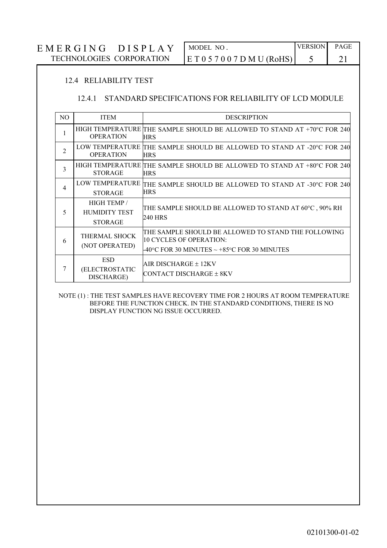#### **VERSION** PAGE MODEL NO. EMERGING DISPLAY TECHNOLOGIES CORPORATION  $E T 0 5 7 0 0 7 D M U (RoHS)$ 5 21

#### 12.4 RELIABILITY TEST

#### 12.4.1 STANDARD SPECIFICATIONS FOR RELIABILITY OF LCD MODULE

| N <sub>O</sub> | <b>ITEM</b>                                           | <b>DESCRIPTION</b>                                                                                                             |
|----------------|-------------------------------------------------------|--------------------------------------------------------------------------------------------------------------------------------|
| 1              | <b>OPERATION</b>                                      | HIGH TEMPERATURE THE SAMPLE SHOULD BE ALLOWED TO STAND AT +70°C FOR 240<br><b>HRS</b>                                          |
| $\overline{2}$ | <b>OPERATION</b>                                      | LOW TEMPERATURE THE SAMPLE SHOULD BE ALLOWED TO STAND AT -20°C FOR 240<br><b>HRS</b>                                           |
| 3              | <b>STORAGE</b>                                        | HIGH TEMPERATURE THE SAMPLE SHOULD BE ALLOWED TO STAND AT +80°C FOR 240<br><b>HRS</b>                                          |
| $\overline{4}$ | <b>STORAGE</b>                                        | LOW TEMPERATURE THE SAMPLE SHOULD BE ALLOWED TO STAND AT -30°C FOR 240<br><b>HRS</b>                                           |
| 5              | HIGH TEMP /<br><b>HUMIDITY TEST</b><br><b>STORAGE</b> | THE SAMPLE SHOULD BE ALLOWED TO STAND AT 60°C , 90% RH<br>240 HRS                                                              |
| 6              | THERMAL SHOCK<br>(NOT OPERATED)                       | THE SAMPLE SHOULD BE ALLOWED TO STAND THE FOLLOWING<br>110 CYCLES OF OPERATION:<br>-40°C FOR 30 MINUTES ~ +85°C FOR 30 MINUTES |
| 7              | <b>ESD</b><br>(ELECTROSTATIC<br>DISCHARGE)            | AIR DISCHARGE ± 12KV<br> CONTACT DISCHARGE ± 8KV                                                                               |

NOTE (1): THE TEST SAMPLES HAVE RECOVERY TIME FOR 2 HOURS AT ROOM TEMPERATURE BEFORE THE FUNCTION CHECK. IN THE STANDARD CONDITIONS. THERE IS NO DISPLAY FUNCTION NG ISSUE OCCURRED.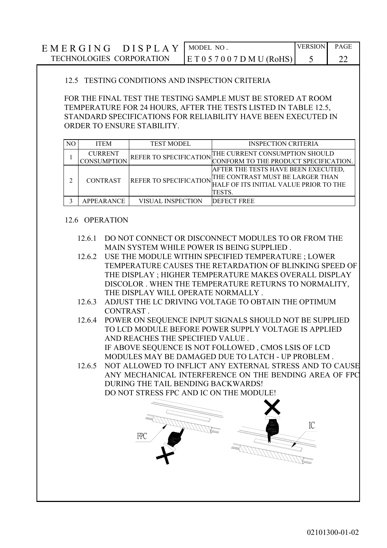| $DISPLAY$ MODEL NO.<br>EMERGING |                              | <b>VERSION</b> | PAGE |
|---------------------------------|------------------------------|----------------|------|
| TECHNOLOGIES CORPORATION        | E T 0 5 7 0 0 7 D M U (RoHS) |                |      |

#### 12.5 TESTING CONDITIONS AND INSPECTION CRITERIA

FOR THE FINAL TEST THE TESTING SAMPLE MUST BE STORED AT ROOM TEMPERATURE FOR 24 HOURS, AFTER THE TESTS LISTED IN TABLE 12.5, STANDARD SPECIFICATIONS FOR RELIABILITY HAVE BEEN EXECUTED IN ORDER TO ENSURE STABILITY.

| NО | <b>ITEM</b>        | <b>TEST MODEL</b>             | <b>INSPECTION CRITERIA</b>             |
|----|--------------------|-------------------------------|----------------------------------------|
|    | <b>CURRENT</b>     | REFER TO SPECIFICATION        | THE CURRENT CONSUMPTION SHOULD         |
|    | <b>CONSUMPTION</b> |                               | CONFORM TO THE PRODUCT SPECIFICATION.  |
|    | <b>CONTRAST</b>    | <b>REFER TO SPECIFICATION</b> | AFTER THE TESTS HAVE BEEN EXECUTED,    |
|    |                    |                               | THE CONTRAST MUST BE LARGER THAN       |
|    |                    |                               | HALF OF ITS INITIAL VALUE PRIOR TO THE |
|    |                    |                               | TESTS.                                 |
|    | APPEARANCE         | VISUAL INSPECTION             | <b>DEFECT FREE</b>                     |

#### 12.6 OPERATION

- 12.6.1 DO NOT CONNECT OR DISCONNECT MODULES TO OR FROM THE MAIN SYSTEM WHILE POWER IS BEING SUPPLIED.
- 12.6.2 USE THE MODULE WITHIN SPECIFIED TEMPERATURE ; LOWER TEMPERATURE CAUSES THE RETARDATION OF BLINKING SPEED OF THE DISPLAY: HIGHER TEMPERATURE MAKES OVERALL DISPLAY DISCOLOR. WHEN THE TEMPERATURE RETURNS TO NORMALITY. THE DISPLAY WILL OPERATE NORMALLY.
- 12.6.3 ADJUST THE LC DRIVING VOLTAGE TO OBTAIN THE OPTIMUM CONTRAST.
- 12.6.4 POWER ON SEQUENCE INPUT SIGNALS SHOULD NOT BE SUPPLIED TO LCD MODULE BEFORE POWER SUPPLY VOLTAGE IS APPLIED AND REACHES THE SPECIFIED VALUE. IF ABOVE SEQUENCE IS NOT FOLLOWED, CMOS LSIS OF LCD MODULES MAY BE DAMAGED DUE TO LATCH - UP PROBLEM.
- 12.6.5 NOT ALLOWED TO INFLICT ANY EXTERNAL STRESS AND TO CAUSE ANY MECHANICAL INTERFERENCE ON THE BENDING AREA OF FPC DURING THE TAIL BENDING BACKWARDS! DO NOT STRESS FPC AND IC ON THE MODULE!